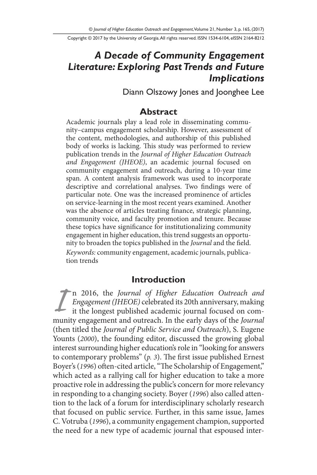Copyright © 2017 by the University of Georgia. All rights reserved. ISSN 1534-6104, eISSN 2164-8212

# *A Decade of Community Engagement Literature: Exploring Past Trends and Future Implications*

Diann Olszowy Jones and Joonghee Lee

#### **Abstract**

Academic journals play a lead role in disseminating community–campus engagement scholarship. However, assessment of the content, methodologies, and authorship of this published body of works is lacking. This study was performed to review publication trends in the *Journal of Higher Education Outreach and Engagement (JHEOE)*, an academic journal focused on community engagement and outreach, during a 10-year time span. A content analysis framework was used to incorporate descriptive and correlational analyses. Two findings were of particular note. One was the increased prominence of articles on service-learning in the most recent years examined. Another was the absence of articles treating finance, strategic planning, community voice, and faculty promotion and tenure. Because these topics have significance for institutionalizing community engagement in higher education, this trend suggests an opportunity to broaden the topics published in the *Journal* and the field. *Keywords:* community engagement, academic journals, publication trends

#### **Introduction**

*I* n 2016, the *Journal of Higher Education Outreach and Engagement (JHEOE)* celebrated its 20th anniversary, making it the longest published academic journal focused on community engagement and outreach. In the early days of the *Journal* (then titled the *Journal of Public Service and Outreach*), S. Eugene Younts (*2000*), the founding editor, discussed the growing global interest surrounding higher education's role in "looking for answers to contemporary problems" (*p. 3*). The first issue published Ernest Boyer's (*1996*) often-cited article, "The Scholarship of Engagement," which acted as a rallying call for higher education to take a more proactive role in addressing the public's concern for more relevancy in responding to a changing society. Boyer (*1996*) also called attention to the lack of a forum for interdisciplinary scholarly research that focused on public service. Further, in this same issue, James C. Votruba (*1996*), a community engagement champion, supported the need for a new type of academic journal that espoused inter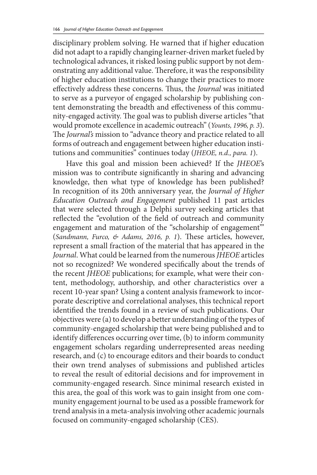disciplinary problem solving. He warned that if higher education did not adapt to a rapidly changing learner-driven market fueled by technological advances, it risked losing public support by not demonstrating any additional value. Therefore, it was the responsibility of higher education institutions to change their practices to more effectively address these concerns. Thus, the *Journal* was initiated to serve as a purveyor of engaged scholarship by publishing content demonstrating the breadth and effectiveness of this community-engaged activity. The goal was to publish diverse articles "that would promote excellence in academic outreach" (*Younts, 1996, p. 3*). The *Journal's* mission to "advance theory and practice related to all forms of outreach and engagement between higher education institutions and communities" continues today (*JHEOE, n.d., para. 1*).

Have this goal and mission been achieved? If the *JHEOE*'s mission was to contribute significantly in sharing and advancing knowledge, then what type of knowledge has been published? In recognition of its 20th anniversary year, the *Journal of Higher Education Outreach and Engagement* published 11 past articles that were selected through a Delphi survey seeking articles that reflected the "evolution of the field of outreach and community engagement and maturation of the "scholarship of engagement'" (*Sandmann, Furco, & Adams, 2016, p. 1*). These articles, however, represent a small fraction of the material that has appeared in the *Journal*. What could be learned from the numerous *JHEOE* articles not so recognized? We wondered specifically about the trends of the recent *JHEOE* publications; for example, what were their content, methodology, authorship, and other characteristics over a recent 10-year span? Using a content analysis framework to incorporate descriptive and correlational analyses, this technical report identified the trends found in a review of such publications. Our objectives were (a) to develop a better understanding of the types of community-engaged scholarship that were being published and to identify differences occurring over time, (b) to inform community engagement scholars regarding underrepresented areas needing research, and (c) to encourage editors and their boards to conduct their own trend analyses of submissions and published articles to reveal the result of editorial decisions and for improvement in community-engaged research. Since minimal research existed in this area, the goal of this work was to gain insight from one community engagement journal to be used as a possible framework for trend analysis in a meta-analysis involving other academic journals focused on community-engaged scholarship (CES).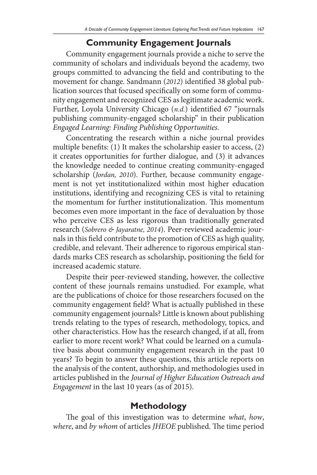### **Community Engagement Journals**

Community engagement journals provide a niche to serve the community of scholars and individuals beyond the academy, two groups committed to advancing the field and contributing to the movement for change. Sandmann (*2012*) identified 38 global publication sources that focused specifically on some form of community engagement and recognized CES as legitimate academic work. Further, Loyola University Chicago (*n.d.*) identified 67 "journals publishing community-engaged scholarship" in their publication *Engaged Learning: Finding Publishing Opportunities.*

Concentrating the research within a niche journal provides multiple benefits: (1) It makes the scholarship easier to access, (2) it creates opportunities for further dialogue, and (3) it advances the knowledge needed to continue creating community-engaged scholarship (*Jordan, 2010*). Further, because community engagement is not yet institutionalized within most higher education institutions, identifying and recognizing CES is vital to retaining the momentum for further institutionalization. This momentum becomes even more important in the face of devaluation by those who perceive CES as less rigorous than traditionally generated research (*Sobrero & Jayaratne, 2014*). Peer-reviewed academic journals in this field contribute to the promotion of CES as high quality, credible, and relevant. Their adherence to rigorous empirical standards marks CES research as scholarship, positioning the field for increased academic stature.

Despite their peer-reviewed standing, however, the collective content of these journals remains unstudied. For example, what are the publications of choice for those researchers focused on the community engagement field? What is actually published in these community engagement journals? Little is known about publishing trends relating to the types of research, methodology, topics, and other characteristics. How has the research changed, if at all, from earlier to more recent work? What could be learned on a cumulative basis about community engagement research in the past 10 years? To begin to answer these questions, this article reports on the analysis of the content, authorship, and methodologies used in articles published in the *Journal of Higher Education Outreach and Engagement* in the last 10 years (as of 2015).

### **Methodology**

The goal of this investigation was to determine *what*, *how*, *where*, and *by whom* of articles *JHEOE* published. The time period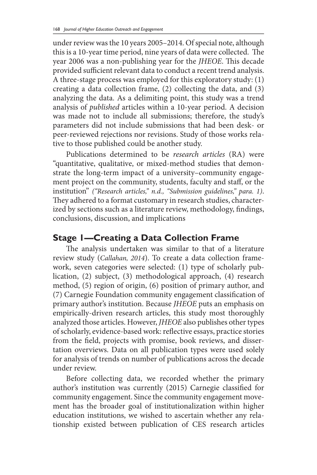under review was the 10 years 2005–2014. Of special note, although this is a 10-year time period, nine years of data were collected. The year 2006 was a non-publishing year for the *JHEOE*. This decade provided sufficient relevant data to conduct a recent trend analysis. A three-stage process was employed for this exploratory study: (1) creating a data collection frame, (2) collecting the data, and (3) analyzing the data. As a delimiting point, this study was a trend analysis of *published* articles within a 10-year period. A decision was made not to include all submissions; therefore, the study's parameters did not include submissions that had been desk- or peer-reviewed rejections nor revisions. Study of those works relative to those published could be another study.

Publications determined to be *research articles* (RA) were "quantitative, qualitative, or mixed-method studies that demonstrate the long-term impact of a university–community engagement project on the community, students, faculty and staff, or the institution" *("Research articles," n.d., "Submission guidelines," para. 1)*. They adhered to a format customary in research studies, characterized by sections such as a literature review, methodology, findings, conclusions, discussion, and implications

### **Stage 1—Creating a Data Collection Frame**

The analysis undertaken was similar to that of a literature review study (*Callahan, 2014*). To create a data collection framework, seven categories were selected: (1) type of scholarly publication, (2) subject, (3) methodological approach, (4) research method, (5) region of origin, (6) position of primary author, and (7) Carnegie Foundation community engagement classification of primary author's institution. Because *JHEOE* puts an emphasis on empirically-driven research articles, this study most thoroughly analyzed those articles. However, *JHEOE* also publishes other types of scholarly, evidence-based work: reflective essays, practice stories from the field, projects with promise, book reviews, and dissertation overviews. Data on all publication types were used solely for analysis of trends on number of publications across the decade under review.

Before collecting data, we recorded whether the primary author's institution was currently (2015) Carnegie classified for community engagement. Since the community engagement movement has the broader goal of institutionalization within higher education institutions, we wished to ascertain whether any relationship existed between publication of CES research articles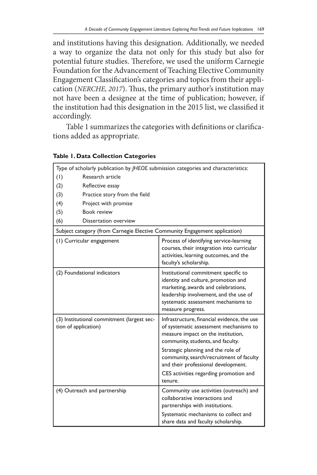and institutions having this designation. Additionally, we needed a way to organize the data not only for this study but also for potential future studies. Therefore, we used the uniform Carnegie Foundation for the Advancement of Teaching Elective Community Engagement Classification's categories and topics from their application (*NERCHE, 2017*). Thus, the primary author's institution may not have been a designee at the time of publication; however, if the institution had this designation in the 2015 list, we classified it accordingly.

Table 1 summarizes the categories with definitions or clarifications added as appropriate.

| Type of scholarly publication by <i>IHEOE</i> submission categories and characteristics: |                               |                                                                                                                                                                                                                                                                                                                                                |  |  |  |
|------------------------------------------------------------------------------------------|-------------------------------|------------------------------------------------------------------------------------------------------------------------------------------------------------------------------------------------------------------------------------------------------------------------------------------------------------------------------------------------|--|--|--|
| (1)                                                                                      | Research article              |                                                                                                                                                                                                                                                                                                                                                |  |  |  |
| (2)                                                                                      | Reflective essay              |                                                                                                                                                                                                                                                                                                                                                |  |  |  |
| (3)                                                                                      | Practice story from the field |                                                                                                                                                                                                                                                                                                                                                |  |  |  |
| (4)                                                                                      | Project with promise          |                                                                                                                                                                                                                                                                                                                                                |  |  |  |
| (5)                                                                                      | Book review                   |                                                                                                                                                                                                                                                                                                                                                |  |  |  |
| (6)                                                                                      | Dissertation overview         |                                                                                                                                                                                                                                                                                                                                                |  |  |  |
| Subject category (from Carnegie Elective Community Engagement application)               |                               |                                                                                                                                                                                                                                                                                                                                                |  |  |  |
| (1) Curricular engagement                                                                |                               | Process of identifying service-learning<br>courses, their integration into curricular<br>activities, learning outcomes, and the<br>faculty's scholarship.                                                                                                                                                                                      |  |  |  |
|                                                                                          | (2) Foundational indicators   | Institutional commitment specific to<br>identity and culture, promotion and<br>marketing, awards and celebrations,<br>leadership involvement, and the use of<br>systematic assessment mechanisms to<br>measure progress.                                                                                                                       |  |  |  |
| (3) Institutional commitment (largest sec-<br>tion of application)                       |                               | Infrastructure, financial evidence, the use<br>of systematic assessment mechanisms to<br>measure impact on the institution,<br>community, students, and faculty.<br>Strategic planning and the role of<br>community, search/recruitment of faculty<br>and their professional development.<br>CES activities regarding promotion and<br>tenure. |  |  |  |
|                                                                                          | (4) Outreach and partnership  | Community use activities (outreach) and<br>collaborative interactions and<br>partnerships with institutions.<br>Systematic mechanisms to collect and<br>share data and faculty scholarship.                                                                                                                                                    |  |  |  |

#### **Table 1. Data Collection Categories**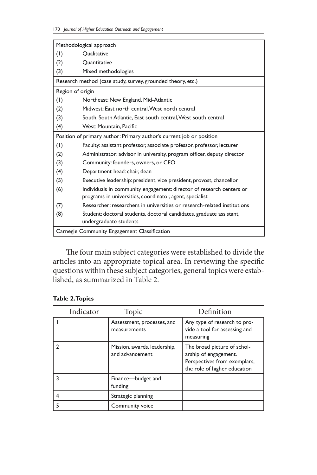| Methodological approach                                              |                                                                          |  |  |  |  |
|----------------------------------------------------------------------|--------------------------------------------------------------------------|--|--|--|--|
| (1)                                                                  | Oualitative                                                              |  |  |  |  |
| (2)                                                                  | Quantitative                                                             |  |  |  |  |
| (3)                                                                  | Mixed methodologies                                                      |  |  |  |  |
| Research method (case study, survey, grounded theory, etc.)          |                                                                          |  |  |  |  |
| Region of origin                                                     |                                                                          |  |  |  |  |
| (1)                                                                  | Northeast: New England, Mid-Atlantic                                     |  |  |  |  |
| (2)                                                                  | Midwest: East north central. West north central                          |  |  |  |  |
| (3)                                                                  | South: South Atlantic, East south central, West south central            |  |  |  |  |
| (4)                                                                  | West: Mountain, Pacific                                                  |  |  |  |  |
| Position of primary author: Primary author's current job or position |                                                                          |  |  |  |  |
| (1)                                                                  | Faculty: assistant professor, associate professor, professor, lecturer   |  |  |  |  |
| (2)                                                                  | Administrator: advisor in university, program officer, deputy director   |  |  |  |  |
| (3)                                                                  | Community: founders, owners, or CEO                                      |  |  |  |  |
| (4)                                                                  | Department head: chair, dean                                             |  |  |  |  |
| (5)                                                                  | Executive leadership: president, vice president, provost, chancellor     |  |  |  |  |
| (6)                                                                  | Individuals in community engagement: director of research centers or     |  |  |  |  |
|                                                                      | programs in universities, coordinator, agent, specialist                 |  |  |  |  |
| (7)                                                                  | Researcher: researchers in universities or research-related institutions |  |  |  |  |
| (8)                                                                  | Student: doctoral students, doctoral candidates, graduate assistant,     |  |  |  |  |
| undergraduate students                                               |                                                                          |  |  |  |  |
| Carnegie Community Engagement Classification                         |                                                                          |  |  |  |  |

The four main subject categories were established to divide the articles into an appropriate topical area. In reviewing the specific questions within these subject categories, general topics were established, as summarized in Table 2.

| Indicator | Topic                                            | Definition                                                                                                           |
|-----------|--------------------------------------------------|----------------------------------------------------------------------------------------------------------------------|
|           | Assessment, processes, and<br>measurements       | Any type of research to pro-<br>vide a tool for assessing and<br>measuring                                           |
|           | Mission, awards, leadership,<br>and advancement. | The broad picture of schol-<br>arship of engagement.<br>Perspectives from exemplars,<br>the role of higher education |
|           | Finance-budget and<br>funding                    |                                                                                                                      |
|           | Strategic planning                               |                                                                                                                      |
|           | Community voice                                  |                                                                                                                      |

#### **Table 2. Topics**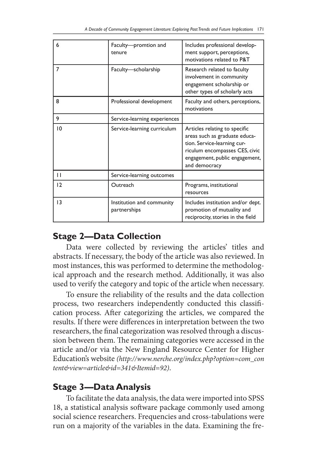| 6  | Faculty-promtion and<br>tenure            | Includes professional develop-<br>ment support, perceptions,<br>motivations related to P&T                                                                                         |
|----|-------------------------------------------|------------------------------------------------------------------------------------------------------------------------------------------------------------------------------------|
| 7  | Faculty-scholarship                       | Research related to faculty<br>involvement in community<br>engagement scholarship or<br>other types of scholarly acts                                                              |
| 8  | Professional development                  | Faculty and others, perceptions,<br>motivations                                                                                                                                    |
| 9  | Service-learning experiences              |                                                                                                                                                                                    |
| 10 | Service-learning curriculum               | Articles relating to specific<br>areas such as graduate educa-<br>tion. Service-learning cur-<br>riculum encompasses CES, civic<br>engagement, public engagement,<br>and democracy |
| П  | Service-learning outcomes                 |                                                                                                                                                                                    |
| 12 | Outreach                                  | Programs, institutional<br>resources                                                                                                                                               |
| 3  | Institution and community<br>partnerships | Includes institution and/or dept.<br>promotion of mutuality and<br>reciprocity, stories in the field                                                                               |

### **Stage 2—Data Collection**

Data were collected by reviewing the articles' titles and abstracts. If necessary, the body of the article was also reviewed. In most instances, this was performed to determine the methodological approach and the research method. Additionally, it was also used to verify the category and topic of the article when necessary.

To ensure the reliability of the results and the data collection process, two researchers independently conducted this classification process. After categorizing the articles, we compared the results. If there were differences in interpretation between the two researchers, the final categorization was resolved through a discussion between them. The remaining categories were accessed in the article and/or via the New England Resource Center for Higher Education's website *(http://www.nerche.org/index.php?option=com\_con tent&view=article&id=341&Itemid=92)*.

## **Stage 3—Data Analysis**

To facilitate the data analysis, the data were imported into SPSS 18, a statistical analysis software package commonly used among social science researchers. Frequencies and cross-tabulations were run on a majority of the variables in the data. Examining the fre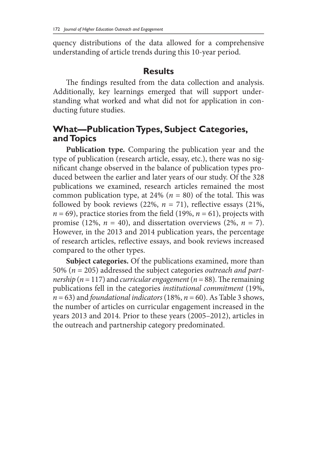quency distributions of the data allowed for a comprehensive understanding of article trends during this 10-year period.

#### **Results**

The findings resulted from the data collection and analysis. Additionally, key learnings emerged that will support understanding what worked and what did not for application in conducting future studies.

### **What—Publication Types, Subject Categories, and Topics**

**Publication type.** Comparing the publication year and the type of publication (research article, essay, etc.), there was no significant change observed in the balance of publication types produced between the earlier and later years of our study. Of the 328 publications we examined, research articles remained the most common publication type, at 24% ( $n = 80$ ) of the total. This was followed by book reviews  $(22\%, n = 71)$ , reflective essays  $(21\%,$  $n = 69$ ), practice stories from the field (19%,  $n = 61$ ), projects with promise (12%,  $n = 40$ ), and dissertation overviews (2%,  $n = 7$ ). However, in the 2013 and 2014 publication years, the percentage of research articles, reflective essays, and book reviews increased compared to the other types.

**Subject categories.** Of the publications examined, more than 50% (*n* = 205) addressed the subject categories *outreach and partnership* ( $n = 117$ ) and *curricular engagement* ( $n = 88$ ). The remaining publications fell in the categories *institutional commitment* (19%,  $n = 63$ ) and *foundational indicators* (18%,  $n = 60$ ). As Table 3 shows, the number of articles on curricular engagement increased in the years 2013 and 2014. Prior to these years (2005–2012), articles in the outreach and partnership category predominated.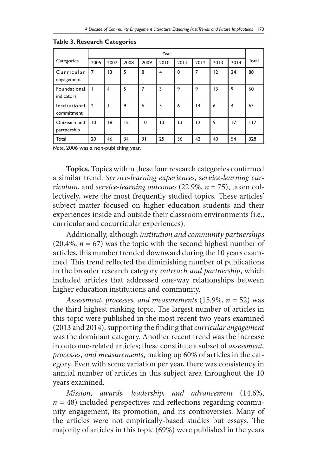|                             | Year           |                |      |      |      |      |      |      |      |       |
|-----------------------------|----------------|----------------|------|------|------|------|------|------|------|-------|
| Categories                  | 2005           | 2007           | 2008 | 2009 | 2010 | 2011 | 2012 | 2013 | 2014 | Total |
| Curricular<br>engagement    | 7              | 13             | 5    | 8    | 4    | 8    | 7    | 12   | 24   | 88    |
| Foundational<br>indicators  |                | $\overline{4}$ | 5    | 7    | 3    | 9    | 9    | 3    | 9    | 60    |
| Institutional<br>commitment | $\overline{2}$ | п              | 9    | 6    | 5    | 6    | 4    | 6    | 4    | 63    |
| Outreach and<br>partnership | 10             | 18             | 15   | 10   | 13   | 13   | 12   | 9    | 17   | 117   |
| Total                       | 20             | 46             | 34   | 31   | 25   | 36   | 42   | 40   | 54   | 328   |

**Table 3. Research Categories**

*Note.* 2006 was a non-publishing year.

**Topics.** Topics within these four research categories confirmed a similar trend. *Service-learning experiences*, s*ervice-learning curriculum*, and *service-learning outcomes* (22.9%, *n* = 75), taken collectively, were the most frequently studied topics. These articles' subject matter focused on higher education students and their experiences inside and outside their classroom environments (i.e., curricular and cocurricular experiences).

Additionally, although *institution and community partnerships*  $(20.4\%, n = 67)$  was the topic with the second highest number of articles, this number trended downward during the 10 years examined. This trend reflected the diminishing number of publications in the broader research category *outreach and partnership*, which included articles that addressed one-way relationships between higher education institutions and community.

*Assessment, processes, and measurements* (15.9%, *n* = 52) was the third highest ranking topic. The largest number of articles in this topic were published in the most recent two years examined (2013 and 2014), supporting the finding that *curricular engagement* was the dominant category. Another recent trend was the increase in outcome-related articles; these constitute a subset of *assessment, processes, and measurements*, making up 60% of articles in the category. Even with some variation per year, there was consistency in annual number of articles in this subject area throughout the 10 years examined.

*Mission, awards, leadership, and advancement* (14.6%,  $n = 48$ ) included perspectives and reflections regarding community engagement, its promotion, and its controversies. Many of the articles were not empirically-based studies but essays. The majority of articles in this topic (69%) were published in the years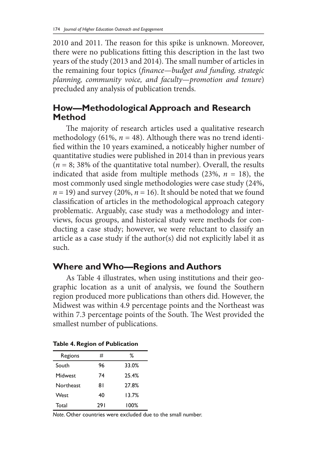2010 and 2011. The reason for this spike is unknown. Moreover, there were no publications fitting this description in the last two years of the study (2013 and 2014). The small number of articles in the remaining four topics (*finance—budget and funding, strategic planning, community voice, and faculty—promotion and tenure*) precluded any analysis of publication trends.

## **How—Methodological Approach and Research Method**

The majority of research articles used a qualitative research methodology (61%,  $n = 48$ ). Although there was no trend identified within the 10 years examined, a noticeably higher number of quantitative studies were published in 2014 than in previous years  $(n = 8; 38\%$  of the quantitative total number). Overall, the results indicated that aside from multiple methods  $(23\%, n = 18)$ , the most commonly used single methodologies were case study (24%,  $n = 19$ ) and survey (20%,  $n = 16$ ). It should be noted that we found classification of articles in the methodological approach category problematic. Arguably, case study was a methodology and interviews, focus groups, and historical study were methods for conducting a case study; however, we were reluctant to classify an article as a case study if the author(s) did not explicitly label it as such.

## **Where and Who—Regions and Authors**

As Table 4 illustrates, when using institutions and their geographic location as a unit of analysis, we found the Southern region produced more publications than others did. However, the Midwest was within 4.9 percentage points and the Northeast was within 7.3 percentage points of the South. The West provided the smallest number of publications.

| Regions   | #   | ℅     |
|-----------|-----|-------|
| South     | 96  | 33.0% |
| Midwest   | 74  | 25.4% |
| Northeast | 81  | 27.8% |
| West      | 40  | 13.7% |
| Total     | 291 | 100%  |

**Table 4. Region of Publication**

*Note.* Other countries were excluded due to the small number.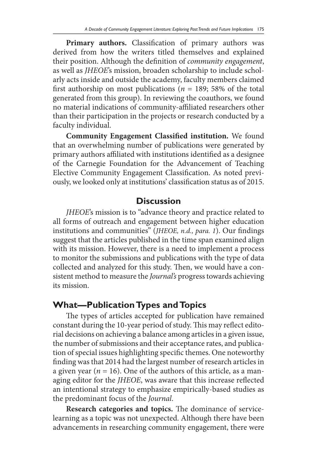**Primary authors.** Classification of primary authors was derived from how the writers titled themselves and explained their position. Although the definition of *community engagement*, as well as *JHEOE*'s mission, broaden scholarship to include scholarly acts inside and outside the academy, faculty members claimed first authorship on most publications ( $n = 189$ ; 58% of the total generated from this group). In reviewing the coauthors, we found no material indications of community-affiliated researchers other than their participation in the projects or research conducted by a faculty individual.

**Community Engagement Classified institution.** We found that an overwhelming number of publications were generated by primary authors affiliated with institutions identified as a designee of the Carnegie Foundation for the Advancement of Teaching Elective Community Engagement Classification. As noted previously, we looked only at institutions' classification status as of 2015.

#### **Discussion**

*JHEOE*'s mission is to "advance theory and practice related to all forms of outreach and engagement between higher education institutions and communities" (*JHEOE, n.d., para. 1*). Our findings suggest that the articles published in the time span examined align with its mission. However, there is a need to implement a process to monitor the submissions and publications with the type of data collected and analyzed for this study. Then, we would have a consistent method to measure the *Journal's* progress towards achieving its mission.

### **What—Publication Types and Topics**

The types of articles accepted for publication have remained constant during the 10-year period of study. This may reflect editorial decisions on achieving a balance among articles in a given issue, the number of submissions and their acceptance rates, and publication of special issues highlighting specific themes. One noteworthy finding was that 2014 had the largest number of research articles in a given year ( $n = 16$ ). One of the authors of this article, as a managing editor for the *JHEOE*, was aware that this increase reflected an intentional strategy to emphasize empirically-based studies as the predominant focus of the *Journal*.

**Research categories and topics.** The dominance of servicelearning as a topic was not unexpected. Although there have been advancements in researching community engagement, there were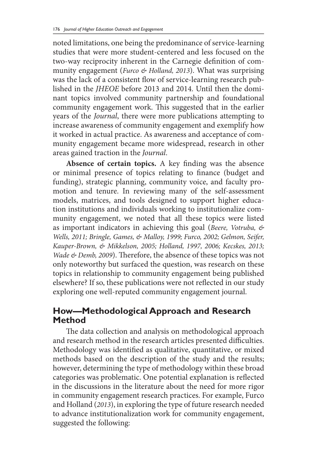noted limitations, one being the predominance of service-learning studies that were more student-centered and less focused on the two-way reciprocity inherent in the Carnegie definition of community engagement (*Furco & Holland, 2013*). What was surprising was the lack of a consistent flow of service-learning research published in the *JHEOE* before 2013 and 2014. Until then the dominant topics involved community partnership and foundational community engagement work. This suggested that in the earlier years of the *Journal*, there were more publications attempting to increase awareness of community engagement and exemplify how it worked in actual practice. As awareness and acceptance of community engagement became more widespread, research in other areas gained traction in the *Journal*.

**Absence of certain topics.** A key finding was the absence or minimal presence of topics relating to finance (budget and funding), strategic planning, community voice, and faculty promotion and tenure. In reviewing many of the self-assessment models, matrices, and tools designed to support higher education institutions and individuals working to institutionalize community engagement, we noted that all these topics were listed as important indicators in achieving this goal (*Beere, Votruba, & Wells, 2011; Bringle, Games, & Malloy, 1999; Furco, 2002; Gelmon, Seifer, Kauper-Brown, & Mikkelson, 2005; Holland, 1997, 2006; Kecskes, 2013; Wade & Demb, 2009*). Therefore, the absence of these topics was not only noteworthy but surfaced the question, was research on these topics in relationship to community engagement being published elsewhere? If so, these publications were not reflected in our study exploring one well-reputed community engagement journal.

### **How—Methodological Approach and Research Method**

The data collection and analysis on methodological approach and research method in the research articles presented difficulties. Methodology was identified as qualitative, quantitative, or mixed methods based on the description of the study and the results; however, determining the type of methodology within these broad categories was problematic. One potential explanation is reflected in the discussions in the literature about the need for more rigor in community engagement research practices. For example, Furco and Holland (*2013*), in exploring the type of future research needed to advance institutionalization work for community engagement, suggested the following: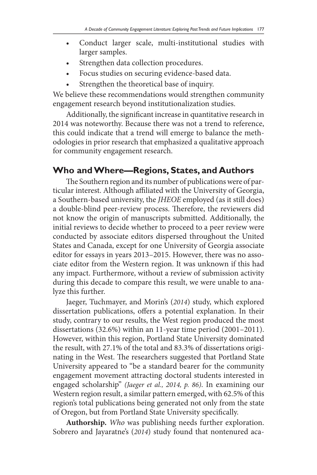- Conduct larger scale, multi-institutional studies with larger samples.
- Strengthen data collection procedures.
- Focus studies on securing evidence-based data.
- Strengthen the theoretical base of inquiry.

We believe these recommendations would strengthen community engagement research beyond institutionalization studies.

Additionally, the significant increase in quantitative research in 2014 was noteworthy. Because there was not a trend to reference, this could indicate that a trend will emerge to balance the methodologies in prior research that emphasized a qualitative approach for community engagement research.

## **Who and Where—Regions, States, and Authors**

The Southern region and its number of publications were of particular interest. Although affiliated with the University of Georgia, a Southern-based university, the *JHEOE* employed (as it still does) a double-blind peer-review process. Therefore, the reviewers did not know the origin of manuscripts submitted. Additionally, the initial reviews to decide whether to proceed to a peer review were conducted by associate editors dispersed throughout the United States and Canada, except for one University of Georgia associate editor for essays in years 2013–2015. However, there was no associate editor from the Western region. It was unknown if this had any impact. Furthermore, without a review of submission activity during this decade to compare this result, we were unable to analyze this further.

Jaeger, Tuchmayer, and Morin's (*2014*) study, which explored dissertation publications, offers a potential explanation. In their study, contrary to our results, the West region produced the most dissertations (32.6%) within an 11-year time period (2001–2011). However, within this region, Portland State University dominated the result, with 27.1% of the total and 83.3% of dissertations originating in the West. The researchers suggested that Portland State University appeared to "be a standard bearer for the community engagement movement attracting doctoral students interested in engaged scholarship" *(Jaeger et al., 2014, p. 86)*. In examining our Western region result, a similar pattern emerged, with 62.5% of this region's total publications being generated not only from the state of Oregon, but from Portland State University specifically.

**Authorship.** *Who* was publishing needs further exploration. Sobrero and Jayaratne's (*2014*) study found that nontenured aca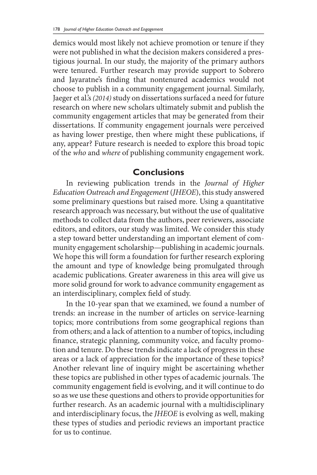demics would most likely not achieve promotion or tenure if they were not published in what the decision makers considered a prestigious journal. In our study, the majority of the primary authors were tenured. Further research may provide support to Sobrero and Jayaratne's finding that nontenured academics would not choose to publish in a community engagement journal. Similarly, Jaeger et al.'s *(2014)* study on dissertations surfaced a need for future research on where new scholars ultimately submit and publish the community engagement articles that may be generated from their dissertations. If community engagement journals were perceived as having lower prestige, then where might these publications, if any, appear? Future research is needed to explore this broad topic of the *who* and *where* of publishing community engagement work.

#### **Conclusions**

In reviewing publication trends in the *Journal of Higher Education Outreach and Engagement* (*JHEOE*), this study answered some preliminary questions but raised more. Using a quantitative research approach was necessary, but without the use of qualitative methods to collect data from the authors, peer reviewers, associate editors, and editors, our study was limited. We consider this study a step toward better understanding an important element of community engagement scholarship—publishing in academic journals. We hope this will form a foundation for further research exploring the amount and type of knowledge being promulgated through academic publications. Greater awareness in this area will give us more solid ground for work to advance community engagement as an interdisciplinary, complex field of study.

In the 10-year span that we examined, we found a number of trends: an increase in the number of articles on service-learning topics; more contributions from some geographical regions than from others; and a lack of attention to a number of topics, including finance, strategic planning, community voice, and faculty promotion and tenure. Do these trends indicate a lack of progress in these areas or a lack of appreciation for the importance of these topics? Another relevant line of inquiry might be ascertaining whether these topics are published in other types of academic journals. The community engagement field is evolving, and it will continue to do so as we use these questions and others to provide opportunities for further research. As an academic journal with a multidisciplinary and interdisciplinary focus, the *JHEOE* is evolving as well, making these types of studies and periodic reviews an important practice for us to continue.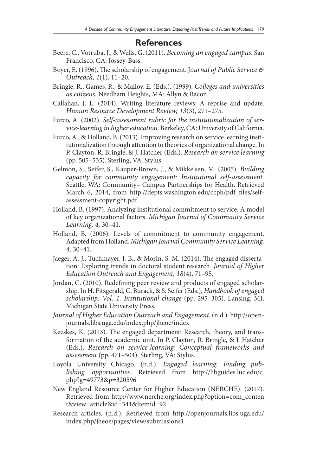#### **References**

- Beere, C., Votruba, J., & Wells, G. (2011). *Becoming an engaged campus*. San Francisco, CA: Jossey-Bass.
- Boyer, E. (1996). The scholarship of engagement. J*ournal of Public Service & Outreach, 1*(1), 11–20.
- Bringle, R., Games, R., & Malloy, E. (Eds.). (1999). *Colleges and universities as citizens.* Needham Heights, MA: Allyn & Bacon.
- Callahan, J. L. (2014). Writing literature reviews: A reprise and update. *Human Resource Development Review, 13*(3), 271–275.
- Furco, A. (2002). *Self-assessment rubric for the institutionalization of service-learning in higher education*. Berkeley, CA: University of California.
- Furco, A., & Holland, B. (2013). Improving research on service learning institutionalization through attention to theories of organizational change. In P. Clayton, R. Bringle, & J. Hatcher (Eds.), *Research on service learning*  (pp. 505–535). Sterling, VA: Stylus.
- Gelmon, S., Seifer, S., Kauper-Brown, J., & Mikkelsen, M. (2005). *Building capacity for community engagement: Institutional self-assessment.*  Seattle, WA: Community– Campus Partnerships for Health. Retrieved March 6, 2014, from http://depts.washington.edu/ccph/pdf\_files/selfassessment-copyright.pdf
- Holland, B. (1997). Analyzing institutional commitment to service: A model of key organizational factors. *Michigan Journal of Community Service Learning, 4,* 30–41.
- Holland, B. (2006). Levels of commitment to community engagement. Adapted from Holland, *Michigan Journal Community Service Learning, 4,* 30–41.
- Jaeger, A. J., Tuchmayer, J. B., & Morin, S. M. (2014). The engaged dissertation: Exploring trends in doctoral student research. *Journal of Higher Education Outreach and Engagement, 18*(4), 71–95.
- Jordan, C. (2010). Redefining peer review and products of engaged scholarship. In H. Fitzgerald, C. Burack, & S. Seifer (Eds.), *Handbook of engaged scholarship: Vol. 1. Institutional change* (pp. 295–305). Lansing, MI: Michigan State University Press.
- *Journal of Higher Education Outreach and Engagement.* (n.d.). http://openjournals.libs.uga.edu/index.php/jheoe/index
- Kecskes, K. (2013). The engaged department: Research, theory, and transformation of the academic unit. In P. Clayton, R. Bringle, & J. Hatcher (Eds.), *Research on service-learning: Conceptual frameworks and assessment* (pp. 471–504). Sterling, VA: Stylus.
- Loyola University Chicago. (n.d.). *Engaged learning: Finding publishing opportunities.* Retrieved from http://libguides.luc.edu/c. php?g=49773&p=320596
- New England Resource Center for Higher Education (NERCHE). (2017). Retrieved from http://www.nerche.org/index.php?option=com\_conten t&view=article&id=341&Itemid=92
- Research articles. (n.d.). Retrieved from http://openjournals.libs.uga.edu/ index.php/jheoe/pages/view/submissions1